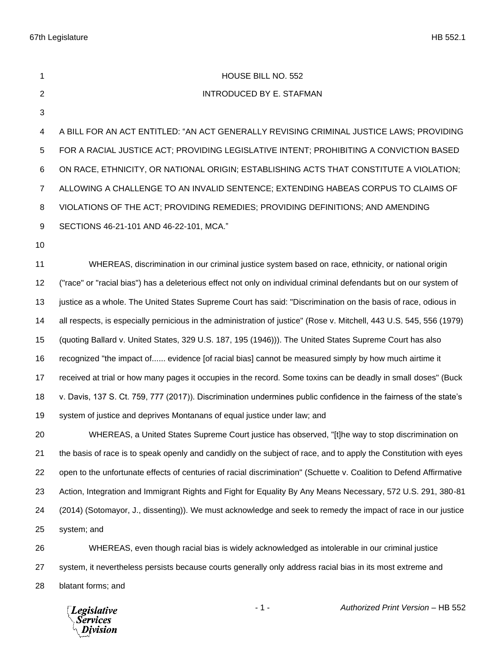| 1              | HOUSE BILL NO. 552                                                                                                   |
|----------------|----------------------------------------------------------------------------------------------------------------------|
| 2              | <b>INTRODUCED BY E. STAFMAN</b>                                                                                      |
| 3              |                                                                                                                      |
| 4              | A BILL FOR AN ACT ENTITLED: "AN ACT GENERALLY REVISING CRIMINAL JUSTICE LAWS; PROVIDING                              |
| 5              | FOR A RACIAL JUSTICE ACT; PROVIDING LEGISLATIVE INTENT; PROHIBITING A CONVICTION BASED                               |
| 6              | ON RACE, ETHNICITY, OR NATIONAL ORIGIN; ESTABLISHING ACTS THAT CONSTITUTE A VIOLATION;                               |
| $\overline{7}$ | ALLOWING A CHALLENGE TO AN INVALID SENTENCE; EXTENDING HABEAS CORPUS TO CLAIMS OF                                    |
| 8              | VIOLATIONS OF THE ACT; PROVIDING REMEDIES; PROVIDING DEFINITIONS; AND AMENDING                                       |
| 9              | SECTIONS 46-21-101 AND 46-22-101, MCA."                                                                              |
| 10             |                                                                                                                      |
| 11             | WHEREAS, discrimination in our criminal justice system based on race, ethnicity, or national origin                  |
| 12             | ("race" or "racial bias") has a deleterious effect not only on individual criminal defendants but on our system of   |
| 13             | justice as a whole. The United States Supreme Court has said: "Discrimination on the basis of race, odious in        |
| 14             | all respects, is especially pernicious in the administration of justice" (Rose v. Mitchell, 443 U.S. 545, 556 (1979) |
| 15             | (quoting Ballard v. United States, 329 U.S. 187, 195 (1946))). The United States Supreme Court has also              |
| 16             | recognized "the impact of evidence [of racial bias] cannot be measured simply by how much airtime it                 |
| 17             | received at trial or how many pages it occupies in the record. Some toxins can be deadly in small doses" (Buck       |
| 18             | v. Davis, 137 S. Ct. 759, 777 (2017)). Discrimination undermines public confidence in the fairness of the state's    |
| 19             | system of justice and deprives Montanans of equal justice under law; and                                             |
| 20             | WHEREAS, a United States Supreme Court justice has observed, "[t]he way to stop discrimination on                    |
| 21             | the basis of race is to speak openly and candidly on the subject of race, and to apply the Constitution with eyes    |
| 22             | open to the unfortunate effects of centuries of racial discrimination" (Schuette v. Coalition to Defend Affirmative  |
| 23             | Action, Integration and Immigrant Rights and Fight for Equality By Any Means Necessary, 572 U.S. 291, 380-81         |
| 24             | (2014) (Sotomayor, J., dissenting)). We must acknowledge and seek to remedy the impact of race in our justice        |
| 25             | system; and                                                                                                          |
| 26             | WHEREAS, even though racial bias is widely acknowledged as intolerable in our criminal justice                       |
| 27             | system, it nevertheless persists because courts generally only address racial bias in its most extreme and           |
|                |                                                                                                                      |

blatant forms; and

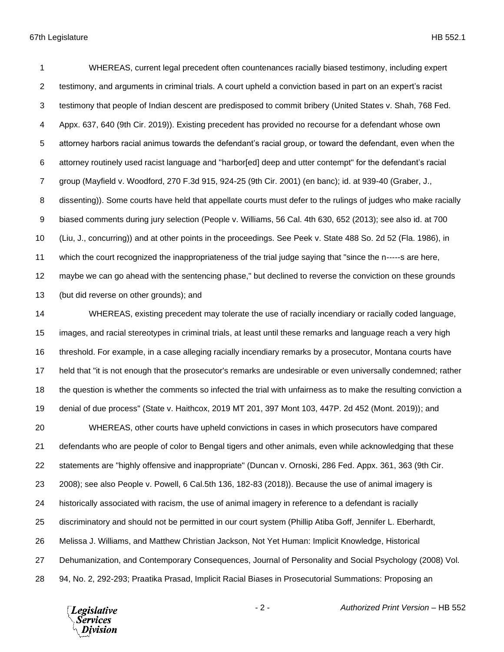WHEREAS, current legal precedent often countenances racially biased testimony, including expert testimony, and arguments in criminal trials. A court upheld a conviction based in part on an expert's racist testimony that people of Indian descent are predisposed to commit bribery (United States v. Shah, 768 Fed. Appx. 637, 640 (9th Cir. 2019)). Existing precedent has provided no recourse for a defendant whose own attorney harbors racial animus towards the defendant's racial group, or toward the defendant, even when the attorney routinely used racist language and "harbor[ed] deep and utter contempt" for the defendant's racial group (Mayfield v. Woodford, 270 F.3d 915, 924-25 (9th Cir. 2001) (en banc); id. at 939-40 (Graber, J., dissenting)). Some courts have held that appellate courts must defer to the rulings of judges who make racially biased comments during jury selection (People v. Williams, 56 Cal. 4th 630, 652 (2013); see also id. at 700 (Liu, J., concurring)) and at other points in the proceedings. See Peek v. State 488 So. 2d 52 (Fla. 1986), in which the court recognized the inappropriateness of the trial judge saying that "since the n-----s are here, maybe we can go ahead with the sentencing phase," but declined to reverse the conviction on these grounds (but did reverse on other grounds); and WHEREAS, existing precedent may tolerate the use of racially incendiary or racially coded language, images, and racial stereotypes in criminal trials, at least until these remarks and language reach a very high threshold. For example, in a case alleging racially incendiary remarks by a prosecutor, Montana courts have held that "it is not enough that the prosecutor's remarks are undesirable or even universally condemned; rather the question is whether the comments so infected the trial with unfairness as to make the resulting conviction a denial of due process" (State v. Haithcox, 2019 MT 201, 397 Mont 103, 447P. 2d 452 (Mont. 2019)); and WHEREAS, other courts have upheld convictions in cases in which prosecutors have compared defendants who are people of color to Bengal tigers and other animals, even while acknowledging that these statements are "highly offensive and inappropriate" (Duncan v. Ornoski, 286 Fed. Appx. 361, 363 (9th Cir. 2008); see also People v. Powell, 6 Cal.5th 136, 182-83 (2018)). Because the use of animal imagery is historically associated with racism, the use of animal imagery in reference to a defendant is racially discriminatory and should not be permitted in our court system (Phillip Atiba Goff, Jennifer L. Eberhardt, Melissa J. Williams, and Matthew Christian Jackson, Not Yet Human: Implicit Knowledge, Historical

Dehumanization, and Contemporary Consequences, Journal of Personality and Social Psychology (2008) Vol.

94, No. 2, 292-293; Praatika Prasad, Implicit Racial Biases in Prosecutorial Summations: Proposing an

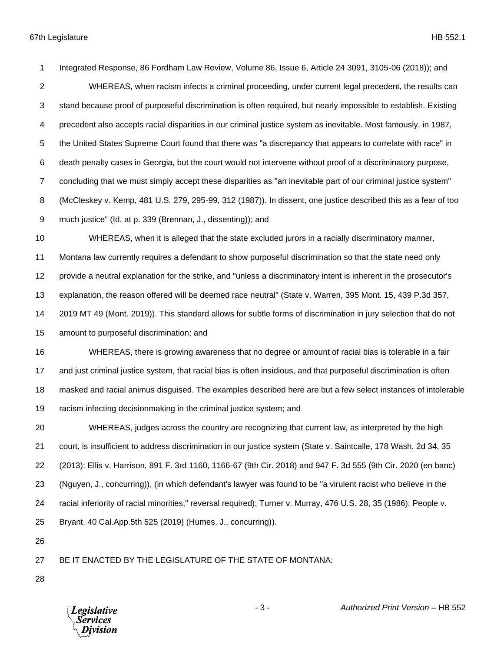Integrated Response, 86 Fordham Law Review, Volume 86, Issue 6, Article 24 3091, 3105-06 (2018)); and WHEREAS, when racism infects a criminal proceeding, under current legal precedent, the results can stand because proof of purposeful discrimination is often required, but nearly impossible to establish. Existing precedent also accepts racial disparities in our criminal justice system as inevitable. Most famously, in 1987, the United States Supreme Court found that there was "a discrepancy that appears to correlate with race" in death penalty cases in Georgia, but the court would not intervene without proof of a discriminatory purpose, concluding that we must simply accept these disparities as "an inevitable part of our criminal justice system" (McCleskey v. Kemp, 481 U.S. 279, 295-99, 312 (1987)). In dissent, one justice described this as a fear of too much justice" (Id. at p. 339 (Brennan, J., dissenting)); and WHEREAS, when it is alleged that the state excluded jurors in a racially discriminatory manner, Montana law currently requires a defendant to show purposeful discrimination so that the state need only provide a neutral explanation for the strike, and "unless a discriminatory intent is inherent in the prosecutor's explanation, the reason offered will be deemed race neutral" (State v. Warren, 395 Mont. 15, 439 P.3d 357, 2019 MT 49 (Mont. 2019)). This standard allows for subtle forms of discrimination in jury selection that do not amount to purposeful discrimination; and WHEREAS, there is growing awareness that no degree or amount of racial bias is tolerable in a fair and just criminal justice system, that racial bias is often insidious, and that purposeful discrimination is often masked and racial animus disguised. The examples described here are but a few select instances of intolerable racism infecting decisionmaking in the criminal justice system; and WHEREAS, judges across the country are recognizing that current law, as interpreted by the high court, is insufficient to address discrimination in our justice system (State v. Saintcalle, 178 Wash. 2d 34, 35 (2013); Ellis v. Harrison, 891 F. 3rd 1160, 1166-67 (9th Cir. 2018) and 947 F. 3d 555 (9th Cir. 2020 (en banc) (Nguyen, J., concurring)), (in which defendant's lawyer was found to be "a virulent racist who believe in the racial inferiority of racial minorities," reversal required); Turner v. Murray, 476 U.S. 28, 35 (1986); People v. Bryant, 40 Cal.App.5th 525 (2019) (Humes, J., concurring)). BE IT ENACTED BY THE LEGISLATURE OF THE STATE OF MONTANA:

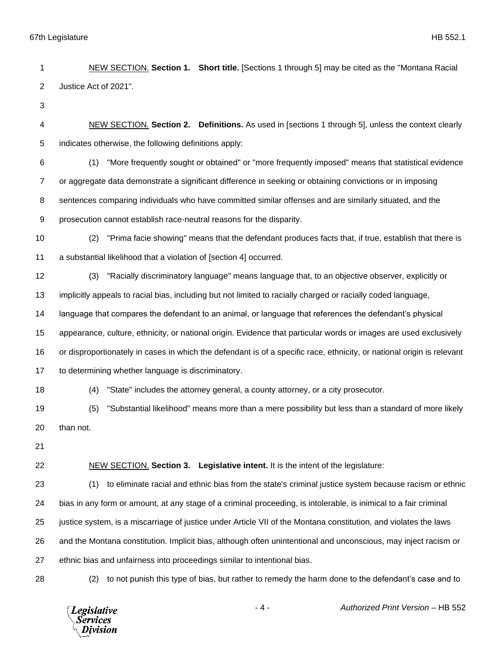NEW SECTION. **Section 1. Short title.** [Sections 1 through 5] may be cited as the "Montana Racial Justice Act of 2021". NEW SECTION. **Section 2. Definitions.** As used in [sections 1 through 5], unless the context clearly indicates otherwise, the following definitions apply: (1) "More frequently sought or obtained" or "more frequently imposed" means that statistical evidence or aggregate data demonstrate a significant difference in seeking or obtaining convictions or in imposing sentences comparing individuals who have committed similar offenses and are similarly situated, and the prosecution cannot establish race-neutral reasons for the disparity. (2) "Prima facie showing" means that the defendant produces facts that, if true, establish that there is a substantial likelihood that a violation of [section 4] occurred. (3) "Racially discriminatory language" means language that, to an objective observer, explicitly or implicitly appeals to racial bias, including but not limited to racially charged or racially coded language, language that compares the defendant to an animal, or language that references the defendant's physical appearance, culture, ethnicity, or national origin. Evidence that particular words or images are used exclusively or disproportionately in cases in which the defendant is of a specific race, ethnicity, or national origin is relevant to determining whether language is discriminatory. (4) "State" includes the attorney general, a county attorney, or a city prosecutor. (5) "Substantial likelihood" means more than a mere possibility but less than a standard of more likely than not. NEW SECTION. **Section 3. Legislative intent.** It is the intent of the legislature: (1) to eliminate racial and ethnic bias from the state's criminal justice system because racism or ethnic bias in any form or amount, at any stage of a criminal proceeding, is intolerable, is inimical to a fair criminal justice system, is a miscarriage of justice under Article VII of the Montana constitution, and violates the laws and the Montana constitution. Implicit bias, although often unintentional and unconscious, may inject racism or ethnic bias and unfairness into proceedings similar to intentional bias. (2) to not punish this type of bias, but rather to remedy the harm done to the defendant's case and to

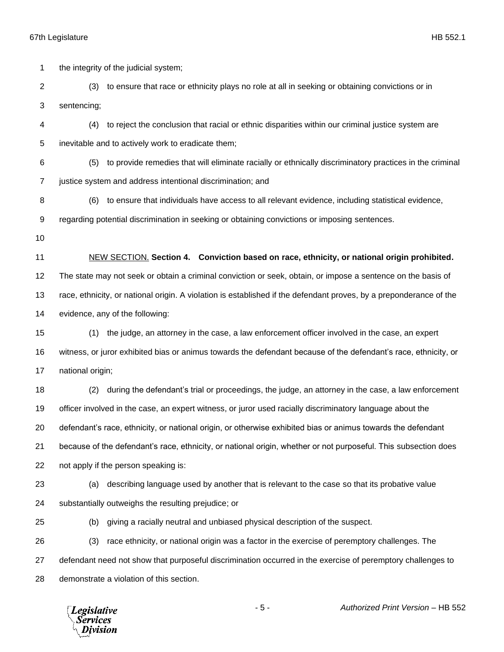*Services* Division

 the integrity of the judicial system; (3) to ensure that race or ethnicity plays no role at all in seeking or obtaining convictions or in sentencing; (4) to reject the conclusion that racial or ethnic disparities within our criminal justice system are inevitable and to actively work to eradicate them; (5) to provide remedies that will eliminate racially or ethnically discriminatory practices in the criminal justice system and address intentional discrimination; and (6) to ensure that individuals have access to all relevant evidence, including statistical evidence, regarding potential discrimination in seeking or obtaining convictions or imposing sentences. NEW SECTION. **Section 4. Conviction based on race, ethnicity, or national origin prohibited.** The state may not seek or obtain a criminal conviction or seek, obtain, or impose a sentence on the basis of race, ethnicity, or national origin. A violation is established if the defendant proves, by a preponderance of the evidence, any of the following: (1) the judge, an attorney in the case, a law enforcement officer involved in the case, an expert witness, or juror exhibited bias or animus towards the defendant because of the defendant's race, ethnicity, or national origin; (2) during the defendant's trial or proceedings, the judge, an attorney in the case, a law enforcement officer involved in the case, an expert witness, or juror used racially discriminatory language about the defendant's race, ethnicity, or national origin, or otherwise exhibited bias or animus towards the defendant because of the defendant's race, ethnicity, or national origin, whether or not purposeful. This subsection does not apply if the person speaking is: (a) describing language used by another that is relevant to the case so that its probative value substantially outweighs the resulting prejudice; or (b) giving a racially neutral and unbiased physical description of the suspect. (3) race ethnicity, or national origin was a factor in the exercise of peremptory challenges. The defendant need not show that purposeful discrimination occurred in the exercise of peremptory challenges to demonstrate a violation of this section.- 5 - *Authorized Print Version* – HB 552 **Legislative**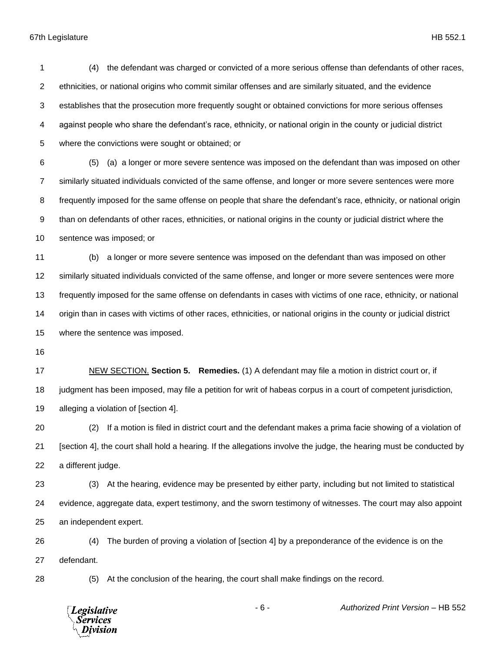| 1              | the defendant was charged or convicted of a more serious offense than defendants of other races,<br>(4)               |
|----------------|-----------------------------------------------------------------------------------------------------------------------|
| $\overline{2}$ | ethnicities, or national origins who commit similar offenses and are similarly situated, and the evidence             |
| 3              | establishes that the prosecution more frequently sought or obtained convictions for more serious offenses             |
| 4              | against people who share the defendant's race, ethnicity, or national origin in the county or judicial district       |
| 5              | where the convictions were sought or obtained; or                                                                     |
| 6              | (a) a longer or more severe sentence was imposed on the defendant than was imposed on other<br>(5)                    |
| 7              | similarly situated individuals convicted of the same offense, and longer or more severe sentences were more           |
| 8              | frequently imposed for the same offense on people that share the defendant's race, ethnicity, or national origin      |
| 9              | than on defendants of other races, ethnicities, or national origins in the county or judicial district where the      |
| 10             | sentence was imposed; or                                                                                              |
| 11             | a longer or more severe sentence was imposed on the defendant than was imposed on other<br>(b)                        |
| 12             | similarly situated individuals convicted of the same offense, and longer or more severe sentences were more           |
| 13             | frequently imposed for the same offense on defendants in cases with victims of one race, ethnicity, or national       |
| 14             | origin than in cases with victims of other races, ethnicities, or national origins in the county or judicial district |
| 15             | where the sentence was imposed.                                                                                       |
| 16             |                                                                                                                       |
| 17             | NEW SECTION. Section 5. Remedies. (1) A defendant may file a motion in district court or, if                          |
| 18             | judgment has been imposed, may file a petition for writ of habeas corpus in a court of competent jurisdiction,        |
| 19             | alleging a violation of [section 4].                                                                                  |
| 20             | If a motion is filed in district court and the defendant makes a prima facie showing of a violation of<br>(2)         |
| 21             | [section 4], the court shall hold a hearing. If the allegations involve the judge, the hearing must be conducted by   |
| 22             | a different judge.                                                                                                    |
| 23             | At the hearing, evidence may be presented by either party, including but not limited to statistical<br>(3)            |
| 24             | evidence, aggregate data, expert testimony, and the sworn testimony of witnesses. The court may also appoint          |
| 25             | an independent expert.                                                                                                |
|                |                                                                                                                       |

 (4) The burden of proving a violation of [section 4] by a preponderance of the evidence is on the defendant.

(5) At the conclusion of the hearing, the court shall make findings on the record.

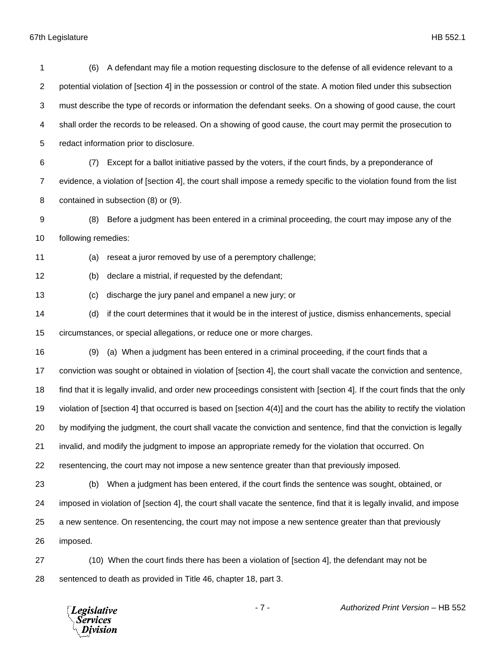| 1  | A defendant may file a motion requesting disclosure to the defense of all evidence relevant to a<br>(6)                  |
|----|--------------------------------------------------------------------------------------------------------------------------|
| 2  | potential violation of [section 4] in the possession or control of the state. A motion filed under this subsection       |
| 3  | must describe the type of records or information the defendant seeks. On a showing of good cause, the court              |
| 4  | shall order the records to be released. On a showing of good cause, the court may permit the prosecution to              |
| 5  | redact information prior to disclosure.                                                                                  |
| 6  | Except for a ballot initiative passed by the voters, if the court finds, by a preponderance of<br>(7)                    |
| 7  | evidence, a violation of [section 4], the court shall impose a remedy specific to the violation found from the list      |
| 8  | contained in subsection (8) or (9).                                                                                      |
| 9  | Before a judgment has been entered in a criminal proceeding, the court may impose any of the<br>(8)                      |
| 10 | following remedies:                                                                                                      |
| 11 | (a)<br>reseat a juror removed by use of a peremptory challenge;                                                          |
| 12 | declare a mistrial, if requested by the defendant;<br>(b)                                                                |
| 13 | discharge the jury panel and empanel a new jury; or<br>(c)                                                               |
| 14 | if the court determines that it would be in the interest of justice, dismiss enhancements, special<br>(d)                |
| 15 | circumstances, or special allegations, or reduce one or more charges.                                                    |
| 16 | (a) When a judgment has been entered in a criminal proceeding, if the court finds that a<br>(9)                          |
| 17 | conviction was sought or obtained in violation of [section 4], the court shall vacate the conviction and sentence,       |
| 18 | find that it is legally invalid, and order new proceedings consistent with [section 4]. If the court finds that the only |
| 19 | violation of [section 4] that occurred is based on [section 4(4)] and the court has the ability to rectify the violation |
| 20 | by modifying the judgment, the court shall vacate the conviction and sentence, find that the conviction is legally       |
| 21 | invalid, and modify the judgment to impose an appropriate remedy for the violation that occurred. On                     |
| 22 | resentencing, the court may not impose a new sentence greater than that previously imposed.                              |
| 23 | When a judgment has been entered, if the court finds the sentence was sought, obtained, or<br>(b)                        |
| 24 | imposed in violation of [section 4], the court shall vacate the sentence, find that it is legally invalid, and impose    |
| 25 | a new sentence. On resentencing, the court may not impose a new sentence greater than that previously                    |
| 26 | imposed.                                                                                                                 |
| 27 | (10) When the court finds there has been a violation of [section 4], the defendant may not be                            |
| 28 | sentenced to death as provided in Title 46, chapter 18, part 3.                                                          |

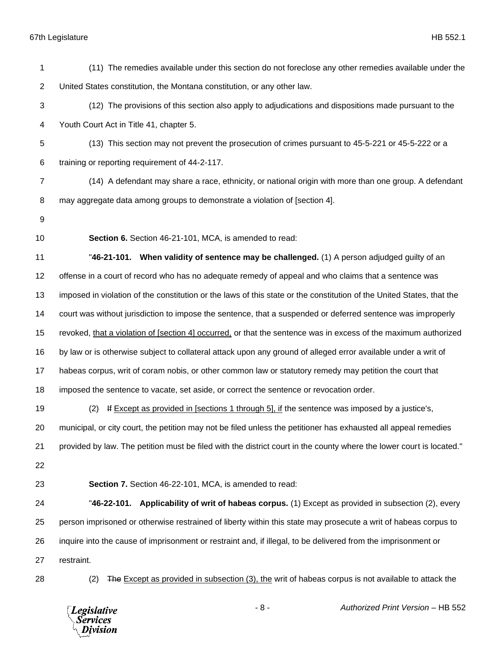*Legislative*<br>Services<br>*Division* 

| 1              | (11) The remedies available under this section do not foreclose any other remedies available under the                |
|----------------|-----------------------------------------------------------------------------------------------------------------------|
| $\overline{2}$ | United States constitution, the Montana constitution, or any other law.                                               |
| 3              | (12) The provisions of this section also apply to adjudications and dispositions made pursuant to the                 |
| 4              | Youth Court Act in Title 41, chapter 5.                                                                               |
| 5              | (13) This section may not prevent the prosecution of crimes pursuant to 45-5-221 or 45-5-222 or a                     |
| 6              | training or reporting requirement of 44-2-117.                                                                        |
| $\overline{7}$ | (14) A defendant may share a race, ethnicity, or national origin with more than one group. A defendant                |
| 8              | may aggregate data among groups to demonstrate a violation of [section 4].                                            |
| 9              |                                                                                                                       |
| 10             | Section 6. Section 46-21-101, MCA, is amended to read:                                                                |
| 11             | "46-21-101. When validity of sentence may be challenged. (1) A person adjudged guilty of an                           |
| 12             | offense in a court of record who has no adequate remedy of appeal and who claims that a sentence was                  |
| 13             | imposed in violation of the constitution or the laws of this state or the constitution of the United States, that the |
| 14             | court was without jurisdiction to impose the sentence, that a suspended or deferred sentence was improperly           |
| 15             | revoked, that a violation of [section 4] occurred, or that the sentence was in excess of the maximum authorized       |
| 16             | by law or is otherwise subject to collateral attack upon any ground of alleged error available under a writ of        |
| 17             | habeas corpus, writ of coram nobis, or other common law or statutory remedy may petition the court that               |
| 18             | imposed the sentence to vacate, set aside, or correct the sentence or revocation order.                               |
| 19             | If Except as provided in [sections 1 through 5], if the sentence was imposed by a justice's,<br>(2)                   |
| 20             | municipal, or city court, the petition may not be filed unless the petitioner has exhausted all appeal remedies       |
| 21             | provided by law. The petition must be filed with the district court in the county where the lower court is located."  |
| 22             |                                                                                                                       |
| 23             | Section 7. Section 46-22-101, MCA, is amended to read:                                                                |
| 24             | "46-22-101. Applicability of writ of habeas corpus. (1) Except as provided in subsection (2), every                   |
| 25             | person imprisoned or otherwise restrained of liberty within this state may prosecute a writ of habeas corpus to       |
| 26             | inquire into the cause of imprisonment or restraint and, if illegal, to be delivered from the imprisonment or         |
| 27             | restraint.                                                                                                            |
| 28             | The Except as provided in subsection (3), the writ of habeas corpus is not available to attack the<br>(2)             |
|                |                                                                                                                       |

- 8 - *Authorized Print Version* – HB 552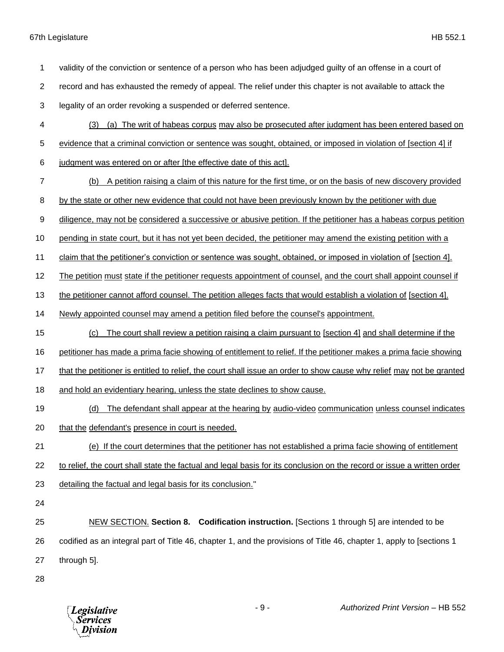(3) (a) The writ of habeas corpus may also be prosecuted after judgment has been entered based on evidence that a criminal conviction or sentence was sought, obtained, or imposed in violation of [section 4] if judgment was entered on or after [the effective date of this act]. (b) A petition raising a claim of this nature for the first time, or on the basis of new discovery provided 8 by the state or other new evidence that could not have been previously known by the petitioner with due diligence, may not be considered a successive or abusive petition. If the petitioner has a habeas corpus petition pending in state court, but it has not yet been decided, the petitioner may amend the existing petition with a claim that the petitioner's conviction or sentence was sought, obtained, or imposed in violation of [section 4]. 12 The petition must state if the petitioner requests appointment of counsel, and the court shall appoint counsel if the petitioner cannot afford counsel. The petition alleges facts that would establish a violation of [section 4]. Newly appointed counsel may amend a petition filed before the counsel's appointment. (c) The court shall review a petition raising a claim pursuant to [section 4] and shall determine if the petitioner has made a prima facie showing of entitlement to relief. If the petitioner makes a prima facie showing 17 that the petitioner is entitled to relief, the court shall issue an order to show cause why relief may not be granted 18 and hold an evidentiary hearing, unless the state declines to show cause. (d) The defendant shall appear at the hearing by audio-video communication unless counsel indicates that the defendant's presence in court is needed. (e) If the court determines that the petitioner has not established a prima facie showing of entitlement to relief, the court shall state the factual and legal basis for its conclusion on the record or issue a written order detailing the factual and legal basis for its conclusion." NEW SECTION. **Section 8. Codification instruction.** [Sections 1 through 5] are intended to be codified as an integral part of Title 46, chapter 1, and the provisions of Title 46, chapter 1, apply to [sections 1 through 5]. - 9 - *Authorized Print Version* – HB 552 **Legislative** *Services* Division

validity of the conviction or sentence of a person who has been adjudged guilty of an offense in a court of

record and has exhausted the remedy of appeal. The relief under this chapter is not available to attack the

legality of an order revoking a suspended or deferred sentence.